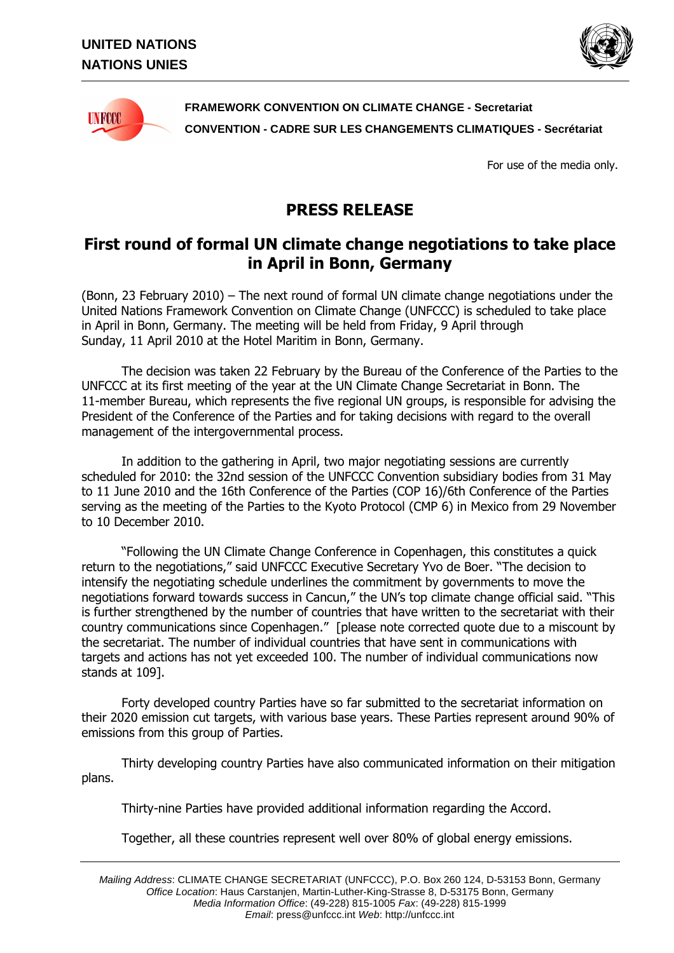



**FRAMEWORK CONVENTION ON CLIMATE CHANGE - Secretariat CONVENTION - CADRE SUR LES CHANGEMENTS CLIMATIQUES - Secrétariat** 

For use of the media only.

## **PRESS RELEASE**

## **First round of formal UN climate change negotiations to take place in April in Bonn, Germany**

(Bonn, 23 February 2010) – The next round of formal UN climate change negotiations under the United Nations Framework Convention on Climate Change (UNFCCC) is scheduled to take place in April in Bonn, Germany. The meeting will be held from Friday, 9 April through Sunday, 11 April 2010 at the Hotel Maritim in Bonn, Germany.

The decision was taken 22 February by the Bureau of the Conference of the Parties to the UNFCCC at its first meeting of the year at the UN Climate Change Secretariat in Bonn. The 11-member Bureau, which represents the five regional UN groups, is responsible for advising the President of the Conference of the Parties and for taking decisions with regard to the overall management of the intergovernmental process.

In addition to the gathering in April, two major negotiating sessions are currently scheduled for 2010: the 32nd session of the UNFCCC Convention subsidiary bodies from 31 May to 11 June 2010 and the 16th Conference of the Parties (COP 16)/6th Conference of the Parties serving as the meeting of the Parties to the Kyoto Protocol (CMP 6) in Mexico from 29 November to 10 December 2010.

"Following the UN Climate Change Conference in Copenhagen, this constitutes a quick return to the negotiations," said UNFCCC Executive Secretary Yvo de Boer. "The decision to intensify the negotiating schedule underlines the commitment by governments to move the negotiations forward towards success in Cancun," the UN's top climate change official said. "This is further strengthened by the number of countries that have written to the secretariat with their country communications since Copenhagen." [please note corrected quote due to a miscount by the secretariat. The number of individual countries that have sent in communications with targets and actions has not yet exceeded 100. The number of individual communications now stands at 109].

Forty developed country Parties have so far submitted to the secretariat information on their 2020 emission cut targets, with various base years. These Parties represent around 90% of emissions from this group of Parties.

Thirty developing country Parties have also communicated information on their mitigation plans.

Thirty-nine Parties have provided additional information regarding the Accord.

Together, all these countries represent well over 80% of global energy emissions.